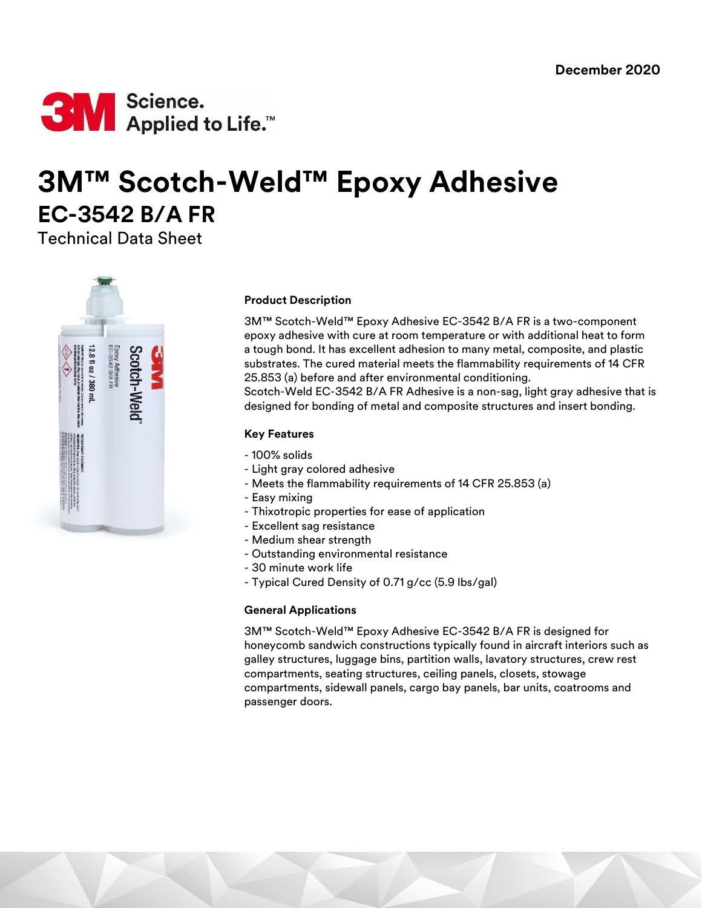

# **3M™ Scotch-Weld™ Epoxy Adhesive EC-3542 B/A FR**

Technical Data Sheet



# **Product Description**

3M™ Scotch-Weld™ Epoxy Adhesive EC-3542 B/A FR is a two-component epoxy adhesive with cure at room temperature or with additional heat to form a tough bond. It has excellent adhesion to many metal, composite, and plastic substrates. The cured material meets the flammability requirements of 14 CFR 25.853 (a) before and after environmental conditioning.

Scotch-Weld EC-3542 B/A FR Adhesive is a non-sag, light gray adhesive that is designed for bonding of metal and composite structures and insert bonding.

# **Key Features**

- 100% solids
- Light gray colored adhesive
- Meets the flammability requirements of 14 CFR 25.853 (a)
- Easy mixing
- Thixotropic properties for ease of application
- Excellent sag resistance
- Medium shear strength
- Outstanding environmental resistance
- 30 minute work life
- Typical Cured Density of 0.71 g/cc (5.9 lbs/gal)

## **General Applications**

3M™ Scotch-Weld™ Epoxy Adhesive EC-3542 B/A FR is designed for honeycomb sandwich constructions typically found in aircraft interiors such as galley structures, luggage bins, partition walls, lavatory structures, crew rest compartments, seating structures, ceiling panels, closets, stowage compartments, sidewall panels, cargo bay panels, bar units, coatrooms and passenger doors.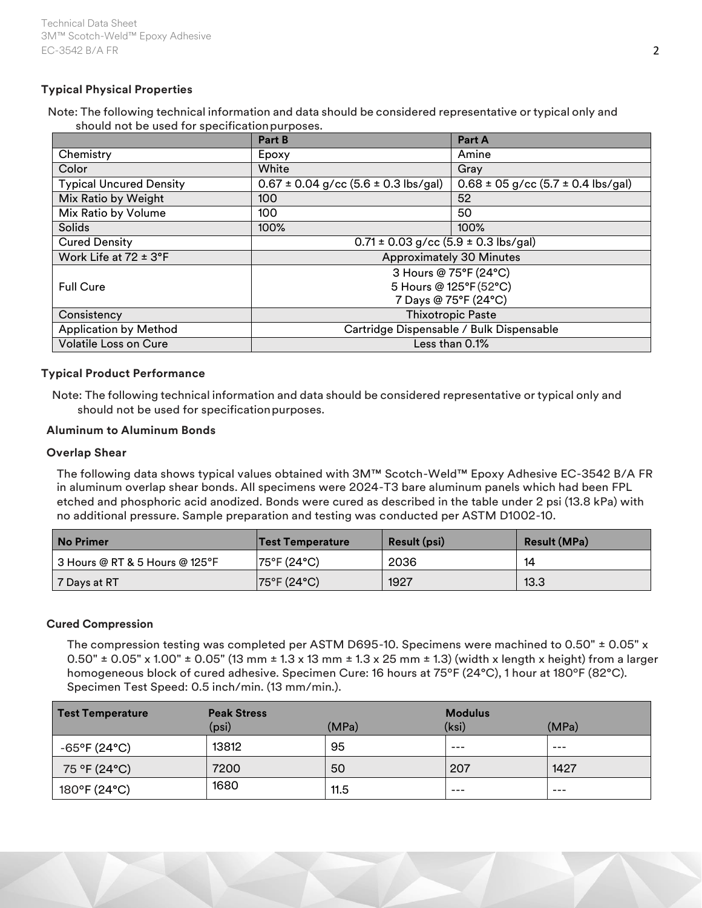# **Typical Physical Properties**

Note: The following technical information and data should be considered representative or typical only and should not be used for specificationpurposes.

|                                | <b>Part B</b>                                | Part A                                     |  |
|--------------------------------|----------------------------------------------|--------------------------------------------|--|
| Chemistry                      | Epoxy                                        | Amine                                      |  |
| Color                          | White                                        | Gray                                       |  |
| <b>Typical Uncured Density</b> | $0.67 \pm 0.04$ g/cc (5.6 $\pm$ 0.3 lbs/gal) | $0.68 \pm 05$ g/cc $(5.7 \pm 0.4$ lbs/gal) |  |
| Mix Ratio by Weight            | 100                                          | 52                                         |  |
| Mix Ratio by Volume            | 100                                          | 50                                         |  |
| Solids                         | 100%                                         | 100%                                       |  |
| <b>Cured Density</b>           | $0.71 \pm 0.03$ g/cc (5.9 $\pm$ 0.3 lbs/gal) |                                            |  |
| Work Life at $72 \pm 3$ °F     | <b>Approximately 30 Minutes</b>              |                                            |  |
|                                | 3 Hours @ 75°F (24°C)                        |                                            |  |
| <b>Full Cure</b>               | 5 Hours @ 125°F (52°C)                       |                                            |  |
|                                | 7 Days @ 75°F (24°C)                         |                                            |  |
| Consistency                    | <b>Thixotropic Paste</b>                     |                                            |  |
| <b>Application by Method</b>   | Cartridge Dispensable / Bulk Dispensable     |                                            |  |
| <b>Volatile Loss on Cure</b>   | Less than 0.1%                               |                                            |  |

# **Typical Product Performance**

Note: The following technical information and data should be considered representative or typical only and should not be used for specification purposes.

## **Aluminum to Aluminum Bonds**

#### **Overlap Shear**

The following data shows typical values obtained with 3M™ Scotch-Weld™ Epoxy Adhesive EC-3542 B/A FR in aluminum overlap shear bonds. All specimens were 2024-T3 bare aluminum panels which had been FPL etched and phosphoric acid anodized. Bonds were cured as described in the table under 2 psi (13.8 kPa) with no additional pressure. Sample preparation and testing was conducted per ASTM D1002-10.

| l No Primer                    | Test Temperature | <b>Result (psi)</b> | <b>Result (MPa)</b> |
|--------------------------------|------------------|---------------------|---------------------|
| 3 Hours @ RT & 5 Hours @ 125°F | 75°F (24°C)      | 2036                | 14                  |
| 7 Days at RT                   | 75°F (24°C)      | 1927                | 13.3                |

## **Cured Compression**

The compression testing was completed per ASTM D695-10. Specimens were machined to 0.50" ± 0.05" x 0.50"  $\pm$  0.05" x 1.00"  $\pm$  0.05" (13 mm  $\pm$  1.3 x 13 mm  $\pm$  1.3 x 25 mm  $\pm$  1.3) (width x length x height) from a larger homogeneous block of cured adhesive. Specimen Cure: 16 hours at 75ºF (24°C), 1 hour at 180ºF (82°C). Specimen Test Speed: 0.5 inch/min. (13 mm/min.).

| Test Temperature       | <b>Peak Stress</b> |       | <b>Modulus</b> |       |
|------------------------|--------------------|-------|----------------|-------|
|                        | (psi)              | (MPa) | (ksi)          | (MPa) |
| $-65^{\circ}$ F (24°C) | 13812              | 95    | $--$           | $--$  |
| 75 °F (24°C)           | 7200               | 50    | 207            | 1427  |
| 180°F (24°C)           | 1680               | 11.5  | $- - -$        | $--$  |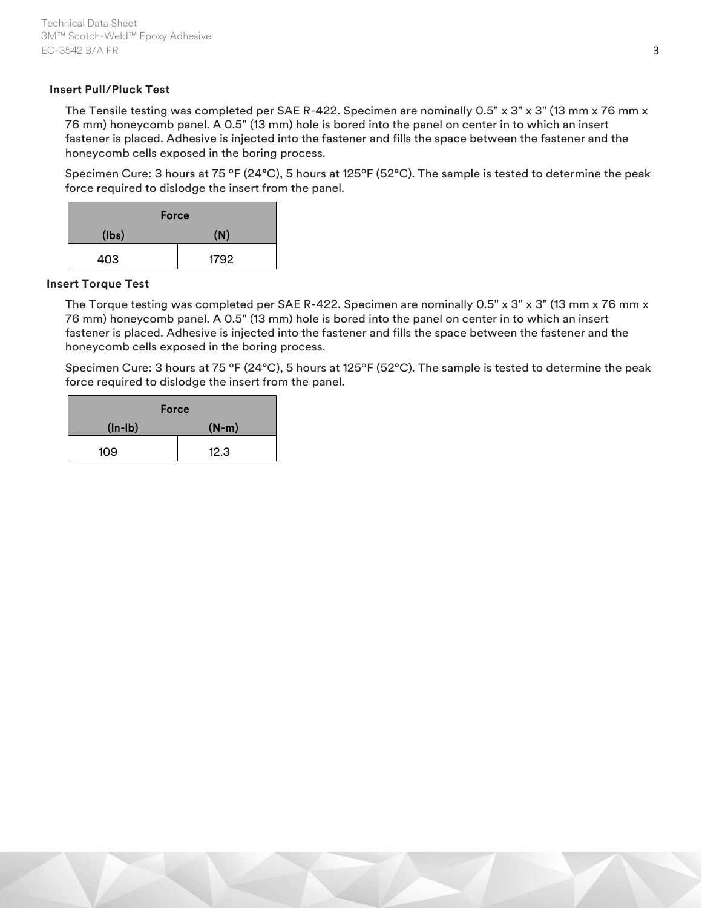# **Insert Pull/Pluck Test**

The Tensile testing was completed per SAE R-422. Specimen are nominally 0.5" x 3" x 3" (13 mm x 76 mm x 76 mm) honeycomb panel. A 0.5" (13 mm) hole is bored into the panel on center in to which an insert fastener is placed. Adhesive is injected into the fastener and fills the space between the fastener and the honeycomb cells exposed in the boring process.

Specimen Cure: 3 hours at 75 ºF (24°C), 5 hours at 125ºF (52°C). The sample is tested to determine the peak force required to dislodge the insert from the panel.

| <b>Force</b> |      |  |
|--------------|------|--|
| (lbs)        | (N)  |  |
| 403          | 1792 |  |

## **Insert Torque Test**

The Torque testing was completed per SAE R-422. Specimen are nominally 0.5" x 3" x 3" (13 mm x 76 mm x 76 mm) honeycomb panel. A 0.5" (13 mm) hole is bored into the panel on center in to which an insert fastener is placed. Adhesive is injected into the fastener and fills the space between the fastener and the honeycomb cells exposed in the boring process.

Specimen Cure: 3 hours at 75 ºF (24°C), 5 hours at 125ºF (52°C). The sample is tested to determine the peak force required to dislodge the insert from the panel.

| <b>Force</b> |         |  |
|--------------|---------|--|
| $(ln - lb)$  | $(N-m)$ |  |
| 109          | 12.3    |  |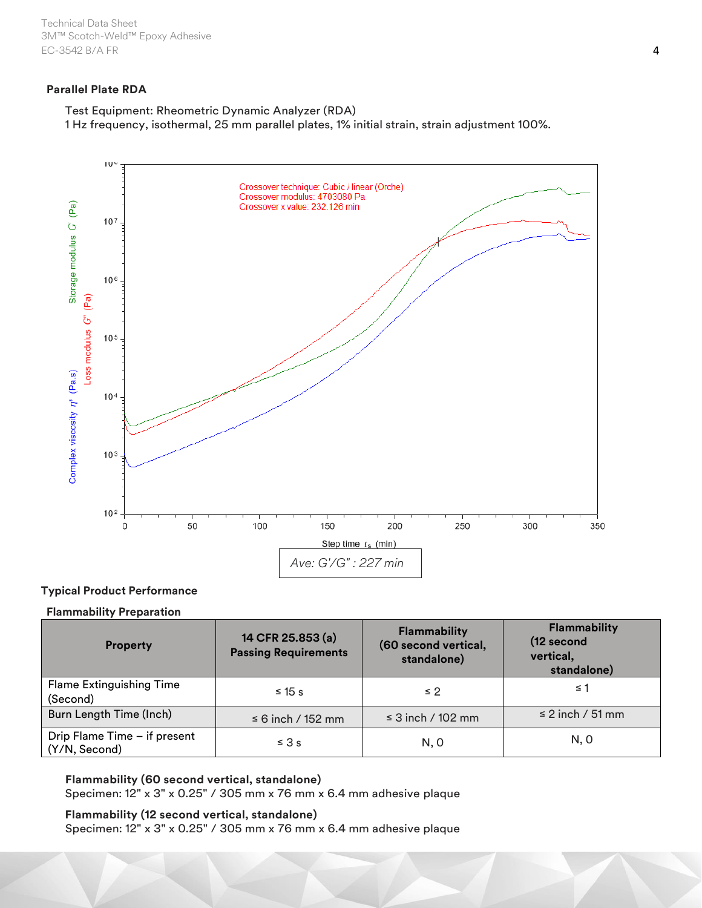Technical Data Sheet 3M™ Scotch-Weld™ Epoxy Adhesive EC-3542 B/A FR 4

# **Parallel Plate RDA**

Test Equipment: Rheometric Dynamic Analyzer (RDA)

1 Hz frequency, isothermal, 25 mm parallel plates, 1% initial strain, strain adjustment 100%.



## **Typical Product Performance**

#### **Flammability Preparation**

| <b>Property</b>                               | 14 CFR 25.853 (a)<br><b>Passing Requirements</b> | <b>Flammability</b><br>(60 second vertical,<br>standalone) | Flammability<br>(12 second<br>vertical,<br>standalone) |
|-----------------------------------------------|--------------------------------------------------|------------------------------------------------------------|--------------------------------------------------------|
| <b>Flame Extinguishing Time</b><br>(Second)   | $\leq$ 15 s                                      | $\leq 2$                                                   | ≤ 1                                                    |
| Burn Length Time (Inch)                       | $\leq 6$ inch / 152 mm                           | $\leq$ 3 inch / 102 mm                                     | $\leq$ 2 inch / 51 mm                                  |
| Drip Flame Time - if present<br>(Y/N, Second) | $\leq 3s$                                        | N, 0                                                       | N, 0                                                   |

**Flammability (60 second vertical, standalone)**

Specimen: 12" x 3" x 0.25" / 305 mm x 76 mm x 6.4 mm adhesive plaque

# **Flammability (12 second vertical, standalone)**

Specimen: 12" x 3" x 0.25" / 305 mm x 76 mm x 6.4 mm adhesive plaque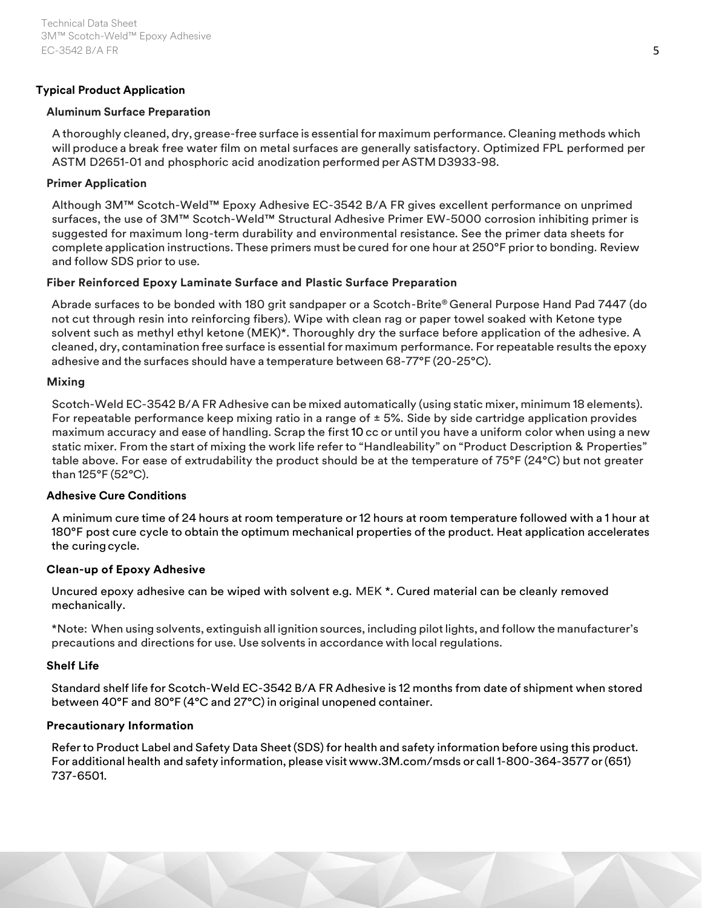# **Typical Product Application**

## **Aluminum Surface Preparation**

A thoroughly cleaned, dry, grease-free surface is essential for maximum performance. Cleaning methods which will produce a break free water film on metal surfaces are generally satisfactory. Optimized FPL performed per ASTM D2651-01 and phosphoric acid anodization performed per ASTMD3933-98.

# **Primer Application**

Although 3M™ Scotch-Weld™ Epoxy Adhesive EC-3542 B/A FR gives excellent performance on unprimed surfaces, the use of 3M™ Scotch-Weld™ Structural Adhesive Primer EW-5000 corrosion inhibiting primer is suggested for maximum long-term durability and environmental resistance. See the primer data sheets for complete application instructions. These primers must be cured for one hour at 250°F prior to bonding. Review and follow SDS prior to use.

# **Fiber Reinforced Epoxy Laminate Surface and Plastic Surface Preparation**

Abrade surfaces to be bonded with 180 grit sandpaper or a Scotch-Brite® General Purpose Hand Pad 7447 (do not cut through resin into reinforcing fibers). Wipe with clean rag or paper towel soaked with Ketone type solvent such as methyl ethyl ketone (MEK)\*. Thoroughly dry the surface before application of the adhesive. A cleaned, dry, contamination free surface is essential for maximum performance. For repeatable results the epoxy adhesive and the surfaces should have a temperature between 68-77°F (20-25°C).

# **Mixing**

Scotch-Weld EC-3542 B/A FR Adhesive can be mixed automatically (using static mixer, minimum 18 elements). For repeatable performance keep mixing ratio in a range of  $\pm$  5%. Side by side cartridge application provides maximum accuracy and ease of handling. Scrap the first 10 cc or until you have a uniform color when using a new static mixer. From the start of mixing the work life refer to "Handleability" on "Product Description & Properties" table above. For ease of extrudability the product should be at the temperature of 75°F (24°C) but not greater than 125°F (52°C).

## **Adhesive Cure Conditions**

A minimum cure time of 24 hours at room temperature or 12 hours at room temperature followed with a 1 hour at 180°F post cure cycle to obtain the optimum mechanical properties of the product. Heat application accelerates the curingcycle.

# **Clean-up of Epoxy Adhesive**

Uncured epoxy adhesive can be wiped with solvent e.g. MEK \*. Cured material can be cleanly removed mechanically.

\*Note: When using solvents, extinguish all ignition sources, including pilotlights, and follow the manufacturer's precautions and directions for use. Use solvents in accordance with local regulations.

## **Shelf Life**

Standard shelf life for Scotch-Weld EC-3542 B/A FR Adhesive is 12 months from date of shipment when stored between 40°F and 80°F (4°C and 27°C) in original unopened container.

# **Precautionary Information**

Referto Product Label and Safety Data Sheet (SDS) for health and safety information before using this product. For additional health and safety information, please visit [www.3M.com/msds](http://www.3m.com/msds) or call1-800-364-3577 or(651) 737-6501.